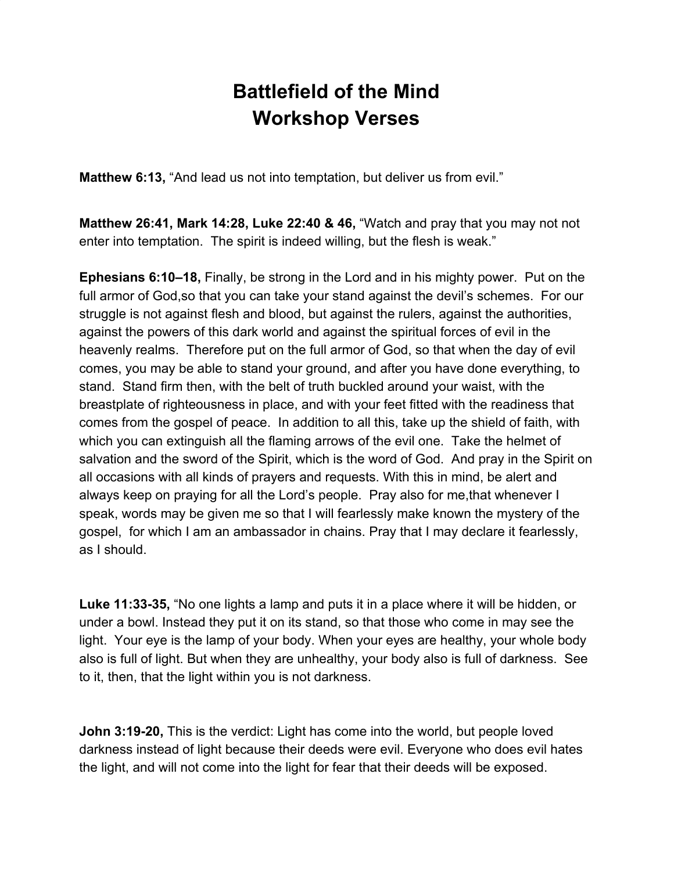## **Battlefield of the Mind Workshop Verses**

**Matthew 6:13,** "And lead us not into temptation, but deliver us from evil."

**Matthew 26:41, Mark 14:28, Luke 22:40 & 46,** "Watch and pray that you may not not enter into temptation. The spirit is indeed willing, but the flesh is weak."

**Ephesians 6:10–18,** Finally, be strong in the Lord and in his mighty power. Put on the full armor of God,so that you can take your stand against the devil's schemes. For our struggle is not against flesh and blood, but against the rulers, against the authorities, against the powers of this dark world and against the spiritual forces of evil in the heavenly realms. Therefore put on the full armor of God, so that when the day of evil comes, you may be able to stand your ground, and after you have done everything, to stand. Stand firm then, with the belt of truth buckled around your waist, with the breastplate of righteousness in place, and with your feet fitted with the readiness that comes from the gospel of peace. In addition to all this, take up the shield of faith, with which you can extinguish all the flaming arrows of the evil one. Take the helmet of salvation and the sword of the Spirit, which is the word of God. And pray in the Spirit on all occasions with all kinds of prayers and requests. With this in mind, be alert and always keep on praying for all the Lord's people. Pray also for me,that whenever I speak, words may be given me so that I will fearlessly make known the mystery of the gospel, for which I am an ambassador in chains. Pray that I may declare it fearlessly, as I should.

**Luke 11:33-35,** "No one lights a lamp and puts it in a place where it will be hidden, or under a bowl. Instead they put it on its stand, so that those who come in may see the light. Your eye is the lamp of your body. When your eyes are healthy, your whole body also is full of light. But when they are unhealthy, your body also is full of darkness. See to it, then, that the light within you is not darkness.

**John 3:19-20,** This is the verdict: Light has come into the world, but people loved darkness instead of light because their deeds were evil. Everyone who does evil hates the light, and will not come into the light for fear that their deeds will be exposed.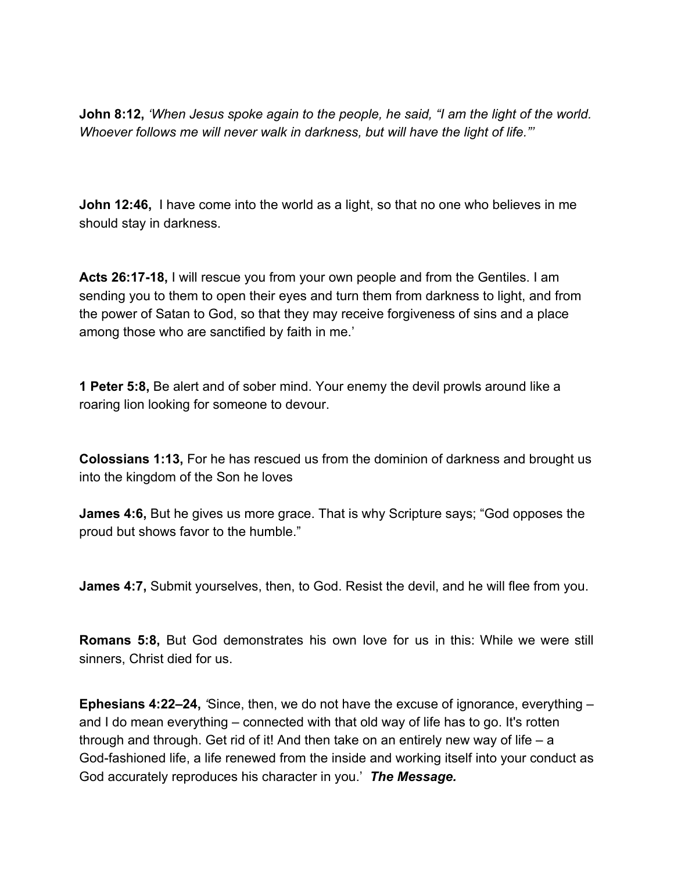**John 8:12,** *'When Jesus spoke again to the people, he said, "I am the light of the world. Whoever follows me will never walk in darkness, but will have the light of life."'*

**John 12:46,** I have come into the world as a light, so that no one who believes in me should stay in darkness.

**Acts 26:17-18,** I will rescue you from your own people and from the Gentiles. I am sending you to them to open their eyes and turn them from darkness to light, and from the power of Satan to God, so that they may receive forgiveness of sins and a place among those who are sanctified by faith in me.'

**1 Peter 5:8,** Be alert and of sober mind. Your enemy the devil prowls around like a roaring lion looking for someone to devour.

**Colossians 1:13,** For he has rescued us from the dominion of darkness and brought us into the kingdom of the Son he loves

**James 4:6,** But he gives us more grace. That is why Scripture says; "God opposes the proud but shows favor to the humble."

**James 4:7,** Submit yourselves, then, to God. Resist the devil, and he will flee from you.

**Romans 5:8,** But God demonstrates his own love for us in this: While we were still sinners, Christ died for us.

**Ephesians 4:22–24,** *'*Since, then, we do not have the excuse of ignorance, everything – and I do mean everything – connected with that old way of life has to go. It's rotten through and through. Get rid of it! And then take on an entirely new way of life  $-$  a God-fashioned life, a life renewed from the inside and working itself into your conduct as God accurately reproduces his character in you.' *The Message.*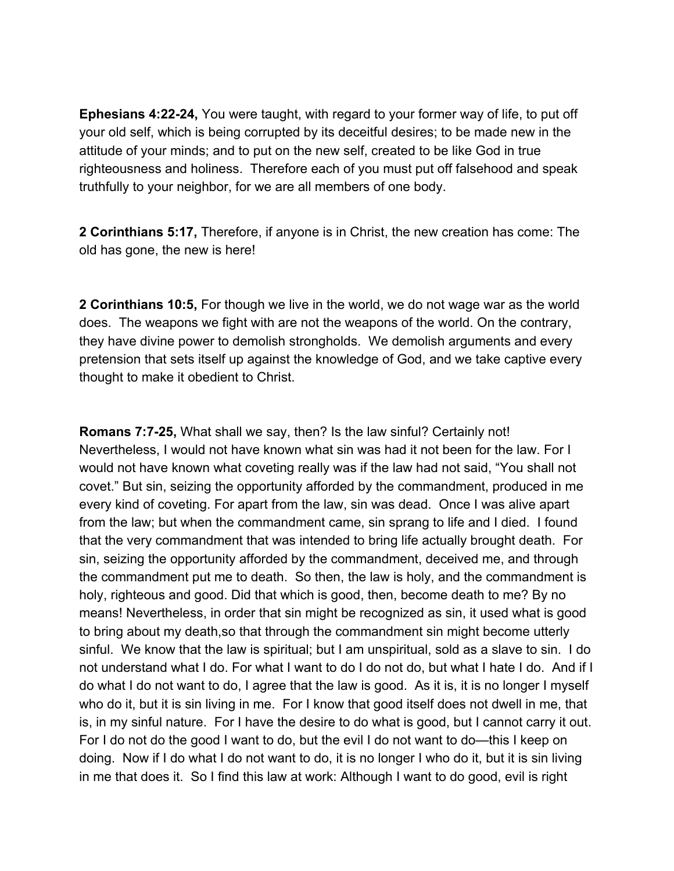**Ephesians 4:22-24,** You were taught, with regard to your former way of life, to put off your old self, which is being corrupted by its deceitful desires; to be made new in the attitude of your minds; and to put on the new self, created to be like God in true righteousness and holiness. Therefore each of you must put off falsehood and speak truthfully to your neighbor, for we are all members of one body.

**2 Corinthians 5:17,** Therefore, if anyone is in Christ, the new creation has come: The old has gone, the new is here!

**2 Corinthians 10:5,** For though we live in the world, we do not wage war as the world does. The weapons we fight with are not the weapons of the world. On the contrary, they have divine power to demolish strongholds. We demolish arguments and every pretension that sets itself up against the knowledge of God, and we take captive every thought to make it obedient to Christ.

**Romans 7:7-25,** What shall we say, then? Is the law sinful? Certainly not! Nevertheless, I would not have known what sin was had it not been for the law. For I would not have known what coveting really was if the law had not said, "You shall not covet." But sin, seizing the opportunity afforded by the commandment, produced in me every kind of coveting. For apart from the law, sin was dead. Once I was alive apart from the law; but when the commandment came, sin sprang to life and I died. I found that the very commandment that was intended to bring life actually brought death. For sin, seizing the opportunity afforded by the commandment, deceived me, and through the commandment put me to death. So then, the law is holy, and the commandment is holy, righteous and good. Did that which is good, then, become death to me? By no means! Nevertheless, in order that sin might be recognized as sin, it used what is good to bring about my death,so that through the commandment sin might become utterly sinful. We know that the law is spiritual; but I am unspiritual, sold as a slave to sin. I do not understand what I do. For what I want to do I do not do, but what I hate I do. And if I do what I do not want to do, I agree that the law is good. As it is, it is no longer I myself who do it, but it is sin living in me. For I know that good itself does not dwell in me, that is, in my sinful nature. For I have the desire to do what is good, but I cannot carry it out. For I do not do the good I want to do, but the evil I do not want to do—this I keep on doing. Now if I do what I do not want to do, it is no longer I who do it, but it is sin living in me that does it. So I find this law at work: Although I want to do good, evil is right